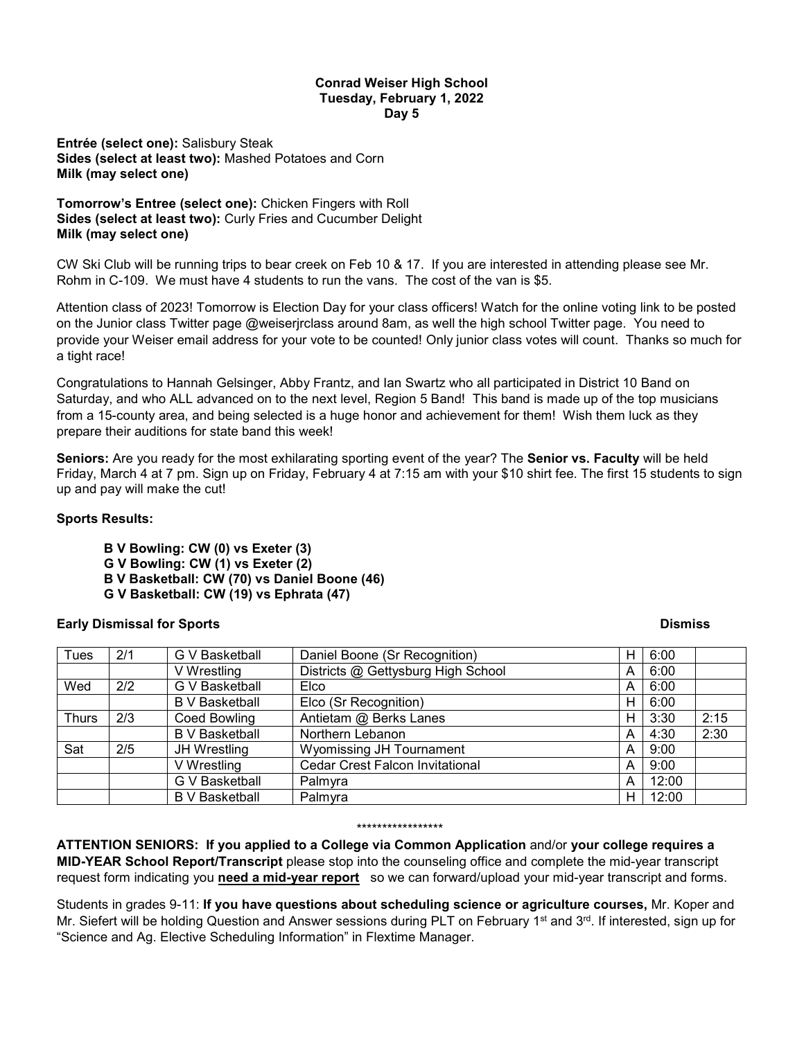### **Conrad Weiser High School Tuesday, February 1, 2022 Day 5**

**Entrée (select one):** Salisbury Steak **Sides (select at least two):** Mashed Potatoes and Corn **Milk (may select one)**

**Tomorrow's Entree (select one):** Chicken Fingers with Roll **Sides (select at least two):** Curly Fries and Cucumber Delight **Milk (may select one)**

CW Ski Club will be running trips to bear creek on Feb 10 & 17. If you are interested in attending please see Mr. Rohm in C-109. We must have 4 students to run the vans. The cost of the van is \$5.

Attention class of 2023! Tomorrow is Election Day for your class officers! Watch for the online voting link to be posted on the Junior class Twitter page @weiserjrclass around 8am, as well the high school Twitter page. You need to provide your Weiser email address for your vote to be counted! Only junior class votes will count. Thanks so much for a tight race!

Congratulations to Hannah Gelsinger, Abby Frantz, and Ian Swartz who all participated in District 10 Band on Saturday, and who ALL advanced on to the next level, Region 5 Band! This band is made up of the top musicians from a 15-county area, and being selected is a huge honor and achievement for them! Wish them luck as they prepare their auditions for state band this week!

**Seniors:** Are you ready for the most exhilarating sporting event of the year? The **Senior vs. Faculty** will be held Friday, March 4 at 7 pm. Sign up on Friday, February 4 at 7:15 am with your \$10 shirt fee. The first 15 students to sign up and pay will make the cut!

## **Sports Results:**

**B V Bowling: CW (0) vs Exeter (3)**

- **G V Bowling: CW (1) vs Exeter (2)**
- **B V Basketball: CW (70) vs Daniel Boone (46)**
- **G V Basketball: CW (19) vs Ephrata (47)**

# **Early Dismissal for Sports Contract Contract Contract Contract Contract Contract Contract Contract Contract Contract Contract Contract Contract Contract Contract Contract Contract Contract Contract Contract Contract Contr**

| Tues         | 2/1 | G V Basketball        | Daniel Boone (Sr Recognition)          | н  | 6:00  |      |
|--------------|-----|-----------------------|----------------------------------------|----|-------|------|
|              |     | V Wrestling           | Districts @ Gettysburg High School     | A  | 6:00  |      |
| Wed          | 2/2 | G V Basketball        | Elco                                   | A  | 6:00  |      |
|              |     | <b>B</b> V Basketball | Elco (Sr Recognition)                  | н  | 6:00  |      |
| <b>Thurs</b> | 2/3 | Coed Bowling          | Antietam @ Berks Lanes                 | H  | 3:30  | 2:15 |
|              |     | <b>B</b> V Basketball | Northern Lebanon                       | A  | 4:30  | 2:30 |
| Sat          | 2/5 | JH Wrestling          | Wyomissing JH Tournament               | A  | 9:00  |      |
|              |     | V Wrestling           | <b>Cedar Crest Falcon Invitational</b> | A  | 9:00  |      |
|              |     | G V Basketball        | Palmyra                                | A  | 12:00 |      |
|              |     | <b>B</b> V Basketball | Palmyra                                | H. | 12:00 |      |

#### \*\*\*\*\*\*\*\*\*\*\*\*\*\*\*\*\*

**ATTENTION SENIORS: If you applied to a College via Common Application** and/or **your college requires a MID-YEAR School Report/Transcript** please stop into the counseling office and complete the mid-year transcript request form indicating you **need a mid-year report** so we can forward/upload your mid-year transcript and forms.

Students in grades 9-11: **If you have questions about scheduling science or agriculture courses,** Mr. Koper and Mr. Siefert will be holding Question and Answer sessions during PLT on February 1<sup>st</sup> and 3<sup>rd</sup>. If interested, sign up for "Science and Ag. Elective Scheduling Information" in Flextime Manager.